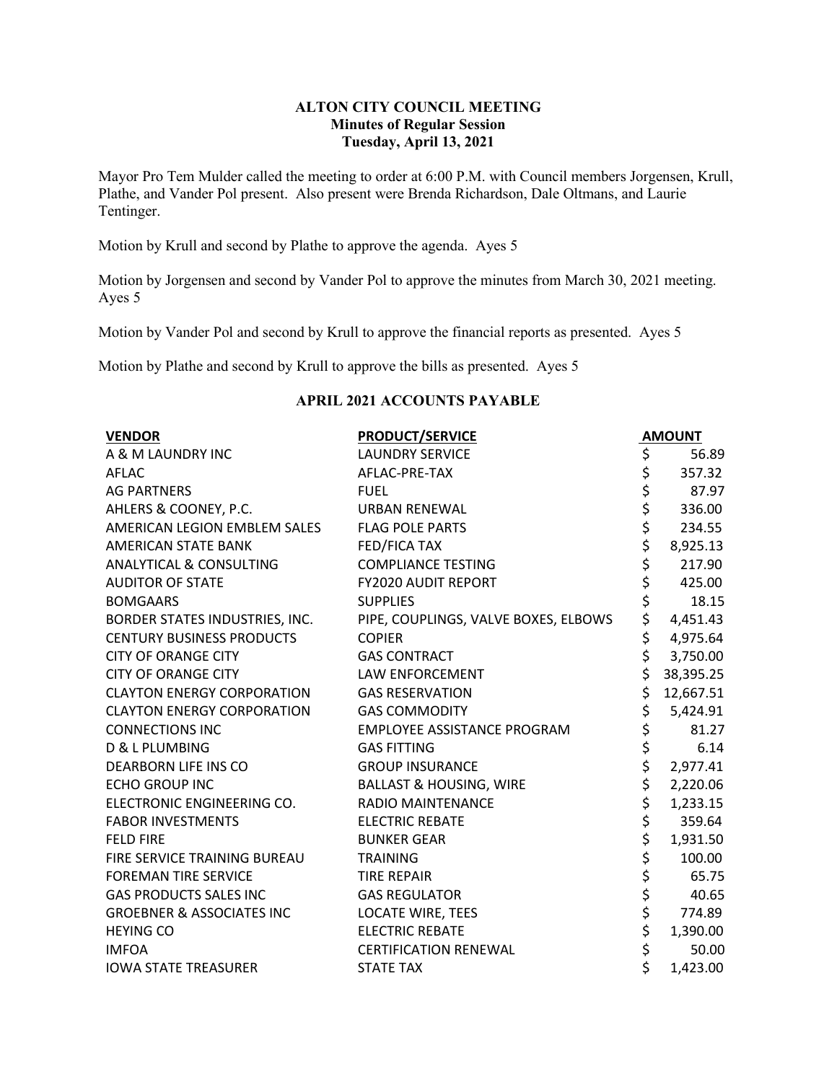## **ALTON CITY COUNCIL MEETING Minutes of Regular Session Tuesday, April 13, 2021**

Mayor Pro Tem Mulder called the meeting to order at 6:00 P.M. with Council members Jorgensen, Krull, Plathe, and Vander Pol present. Also present were Brenda Richardson, Dale Oltmans, and Laurie Tentinger.

Motion by Krull and second by Plathe to approve the agenda. Ayes 5

Motion by Jorgensen and second by Vander Pol to approve the minutes from March 30, 2021 meeting. Ayes 5

Motion by Vander Pol and second by Krull to approve the financial reports as presented. Ayes 5

Motion by Plathe and second by Krull to approve the bills as presented. Ayes 5

### **APRIL 2021 ACCOUNTS PAYABLE**

| <b>VENDOR</b>                        | <b>PRODUCT/SERVICE</b>               |          | <b>AMOUNT</b> |
|--------------------------------------|--------------------------------------|----------|---------------|
| A & M LAUNDRY INC                    | <b>LAUNDRY SERVICE</b>               | \$       | 56.89         |
| <b>AFLAC</b>                         | AFLAC-PRE-TAX                        | \$       | 357.32        |
| <b>AG PARTNERS</b>                   | <b>FUEL</b>                          | \$       | 87.97         |
| AHLERS & COONEY, P.C.                | <b>URBAN RENEWAL</b>                 | \$       | 336.00        |
| AMERICAN LEGION EMBLEM SALES         | <b>FLAG POLE PARTS</b>               | \$       | 234.55        |
| <b>AMERICAN STATE BANK</b>           | <b>FED/FICA TAX</b>                  | \$       | 8,925.13      |
| ANALYTICAL & CONSULTING              | <b>COMPLIANCE TESTING</b>            | \$       | 217.90        |
| <b>AUDITOR OF STATE</b>              | FY2020 AUDIT REPORT                  | \$       | 425.00        |
| <b>BOMGAARS</b>                      | <b>SUPPLIES</b>                      | \$       | 18.15         |
| BORDER STATES INDUSTRIES, INC.       | PIPE, COUPLINGS, VALVE BOXES, ELBOWS | \$       | 4,451.43      |
| <b>CENTURY BUSINESS PRODUCTS</b>     | <b>COPIER</b>                        | \$       | 4,975.64      |
| <b>CITY OF ORANGE CITY</b>           | <b>GAS CONTRACT</b>                  | \$       | 3,750.00      |
| <b>CITY OF ORANGE CITY</b>           | LAW ENFORCEMENT                      | \$       | 38,395.25     |
| <b>CLAYTON ENERGY CORPORATION</b>    | <b>GAS RESERVATION</b>               | \$       | 12,667.51     |
| <b>CLAYTON ENERGY CORPORATION</b>    | <b>GAS COMMODITY</b>                 | \$       | 5,424.91      |
| <b>CONNECTIONS INC</b>               | EMPLOYEE ASSISTANCE PROGRAM          | \$<br>\$ | 81.27         |
| D & L PLUMBING                       | <b>GAS FITTING</b>                   |          | 6.14          |
| <b>DEARBORN LIFE INS CO</b>          | <b>GROUP INSURANCE</b>               | \$       | 2,977.41      |
| <b>ECHO GROUP INC</b>                | <b>BALLAST &amp; HOUSING, WIRE</b>   | \$       | 2,220.06      |
| ELECTRONIC ENGINEERING CO.           | <b>RADIO MAINTENANCE</b>             | \$       | 1,233.15      |
| <b>FABOR INVESTMENTS</b>             | <b>ELECTRIC REBATE</b>               | \$       | 359.64        |
| <b>FELD FIRE</b>                     | <b>BUNKER GEAR</b>                   | \$       | 1,931.50      |
| FIRE SERVICE TRAINING BUREAU         | <b>TRAINING</b>                      | \$       | 100.00        |
| <b>FOREMAN TIRE SERVICE</b>          | <b>TIRE REPAIR</b>                   | \$       | 65.75         |
| <b>GAS PRODUCTS SALES INC</b>        | <b>GAS REGULATOR</b>                 | \$       | 40.65         |
| <b>GROEBNER &amp; ASSOCIATES INC</b> | <b>LOCATE WIRE, TEES</b>             | \$       | 774.89        |
| <b>HEYING CO</b>                     | <b>ELECTRIC REBATE</b>               | \$       | 1,390.00      |
| <b>IMFOA</b>                         | <b>CERTIFICATION RENEWAL</b>         | \$       | 50.00         |
| <b>IOWA STATE TREASURER</b>          | <b>STATE TAX</b>                     | \$       | 1,423.00      |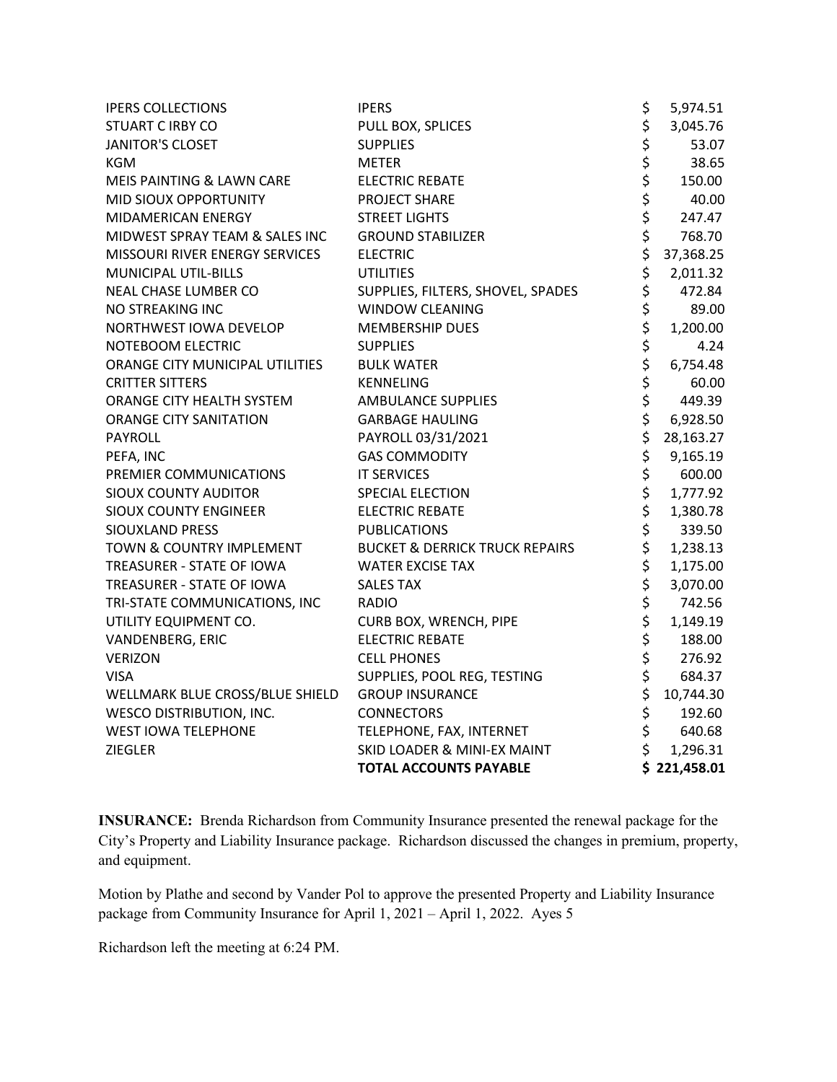| <b>IPERS COLLECTIONS</b>        | <b>IPERS</b>                              | \$            | 5,974.51     |
|---------------------------------|-------------------------------------------|---------------|--------------|
| <b>STUART C IRBY CO</b>         | PULL BOX, SPLICES                         |               | 3,045.76     |
| <b>JANITOR'S CLOSET</b>         | <b>SUPPLIES</b>                           | \$            | 53.07        |
| <b>KGM</b>                      | <b>METER</b>                              | \$<br>\$      | 38.65        |
| MEIS PAINTING & LAWN CARE       | <b>ELECTRIC REBATE</b>                    | \$            | 150.00       |
| MID SIOUX OPPORTUNITY           | PROJECT SHARE                             | \$            | 40.00        |
| MIDAMERICAN ENERGY              | <b>STREET LIGHTS</b>                      | \$            | 247.47       |
| MIDWEST SPRAY TEAM & SALES INC  | <b>GROUND STABILIZER</b>                  | \$            | 768.70       |
| MISSOURI RIVER ENERGY SERVICES  | <b>ELECTRIC</b>                           | \$            | 37,368.25    |
| MUNICIPAL UTIL-BILLS            | <b>UTILITIES</b>                          | \$            | 2,011.32     |
| NEAL CHASE LUMBER CO            | SUPPLIES, FILTERS, SHOVEL, SPADES         | \$            | 472.84       |
| NO STREAKING INC                | <b>WINDOW CLEANING</b>                    | \$            | 89.00        |
| NORTHWEST IOWA DEVELOP          | <b>MEMBERSHIP DUES</b>                    | \$            | 1,200.00     |
| NOTEBOOM ELECTRIC               | <b>SUPPLIES</b>                           | \$            | 4.24         |
| ORANGE CITY MUNICIPAL UTILITIES | <b>BULK WATER</b>                         | \$            | 6,754.48     |
| <b>CRITTER SITTERS</b>          | <b>KENNELING</b>                          | \$            | 60.00        |
| ORANGE CITY HEALTH SYSTEM       | <b>AMBULANCE SUPPLIES</b>                 | $\frac{1}{5}$ | 449.39       |
| <b>ORANGE CITY SANITATION</b>   | <b>GARBAGE HAULING</b>                    | \$            | 6,928.50     |
| PAYROLL                         | PAYROLL 03/31/2021                        | \$            | 28,163.27    |
| PEFA, INC                       | <b>GAS COMMODITY</b>                      | \$            | 9,165.19     |
| PREMIER COMMUNICATIONS          | <b>IT SERVICES</b>                        | ややややや         | 600.00       |
| <b>SIOUX COUNTY AUDITOR</b>     | <b>SPECIAL ELECTION</b>                   |               | 1,777.92     |
| <b>SIOUX COUNTY ENGINEER</b>    | <b>ELECTRIC REBATE</b>                    |               | 1,380.78     |
| SIOUXLAND PRESS                 | <b>PUBLICATIONS</b>                       |               | 339.50       |
| TOWN & COUNTRY IMPLEMENT        | <b>BUCKET &amp; DERRICK TRUCK REPAIRS</b> |               | 1,238.13     |
| TREASURER - STATE OF IOWA       | <b>WATER EXCISE TAX</b>                   |               | 1,175.00     |
| TREASURER - STATE OF IOWA       | <b>SALES TAX</b>                          |               | 3,070.00     |
| TRI-STATE COMMUNICATIONS, INC   | <b>RADIO</b>                              | ややややや         | 742.56       |
| UTILITY EQUIPMENT CO.           | CURB BOX, WRENCH, PIPE                    |               | 1,149.19     |
| VANDENBERG, ERIC                | <b>ELECTRIC REBATE</b>                    |               | 188.00       |
| <b>VERIZON</b>                  | <b>CELL PHONES</b>                        |               | 276.92       |
| <b>VISA</b>                     | SUPPLIES, POOL REG, TESTING               |               | 684.37       |
| WELLMARK BLUE CROSS/BLUE SHIELD | <b>GROUP INSURANCE</b>                    | \$            | 10,744.30    |
| <b>WESCO DISTRIBUTION, INC.</b> | <b>CONNECTORS</b>                         | \$<br>\$      | 192.60       |
| <b>WEST IOWA TELEPHONE</b>      | TELEPHONE, FAX, INTERNET                  |               | 640.68       |
| <b>ZIEGLER</b>                  | <b>SKID LOADER &amp; MINI-EX MAINT</b>    | \$            | 1,296.31     |
|                                 | <b>TOTAL ACCOUNTS PAYABLE</b>             |               | \$221,458.01 |

**INSURANCE:** Brenda Richardson from Community Insurance presented the renewal package for the City's Property and Liability Insurance package. Richardson discussed the changes in premium, property, and equipment.

Motion by Plathe and second by Vander Pol to approve the presented Property and Liability Insurance package from Community Insurance for April 1, 2021 – April 1, 2022. Ayes 5

Richardson left the meeting at 6:24 PM.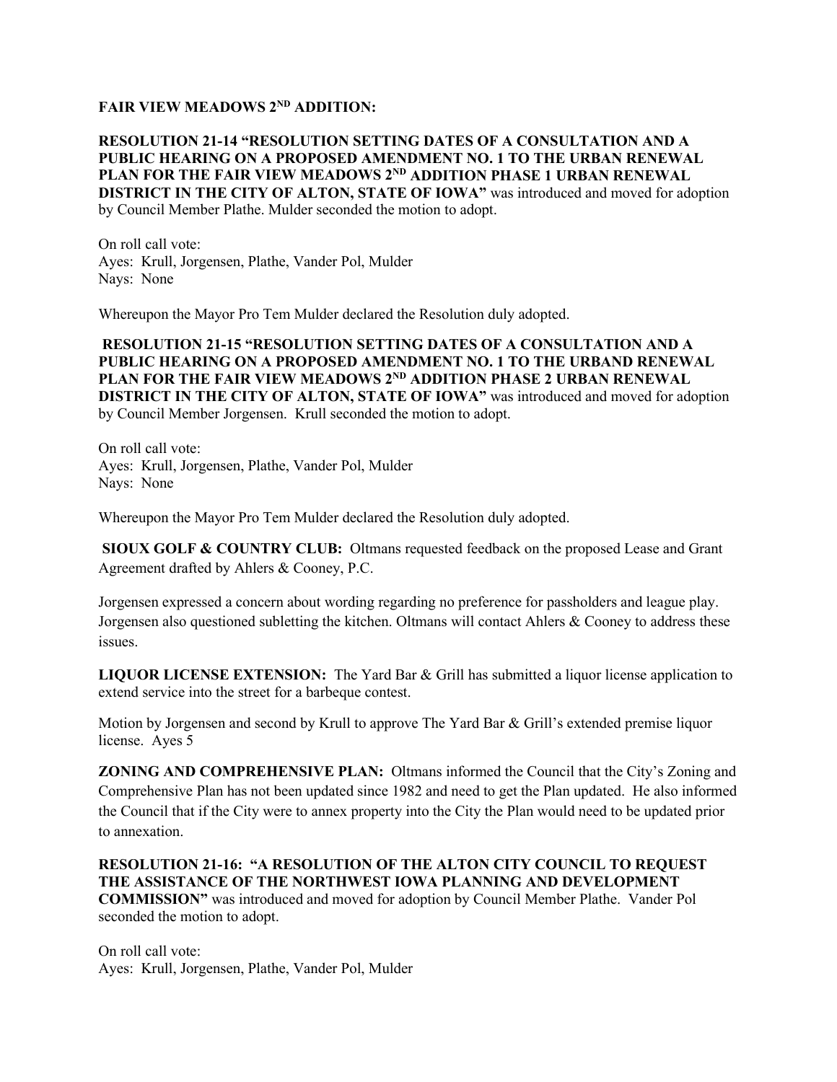# **FAIR VIEW MEADOWS 2ND ADDITION:**

## **RESOLUTION 21-14 "RESOLUTION SETTING DATES OF A CONSULTATION AND A PUBLIC HEARING ON A PROPOSED AMENDMENT NO. 1 TO THE URBAN RENEWAL PLAN FOR THE FAIR VIEW MEADOWS 2ND ADDITION PHASE 1 URBAN RENEWAL DISTRICT IN THE CITY OF ALTON, STATE OF IOWA"** was introduced and moved for adoption by Council Member Plathe. Mulder seconded the motion to adopt.

On roll call vote: Ayes: Krull, Jorgensen, Plathe, Vander Pol, Mulder Nays: None

Whereupon the Mayor Pro Tem Mulder declared the Resolution duly adopted.

**RESOLUTION 21-15 "RESOLUTION SETTING DATES OF A CONSULTATION AND A PUBLIC HEARING ON A PROPOSED AMENDMENT NO. 1 TO THE URBAND RENEWAL PLAN FOR THE FAIR VIEW MEADOWS 2ND ADDITION PHASE 2 URBAN RENEWAL DISTRICT IN THE CITY OF ALTON, STATE OF IOWA"** was introduced and moved for adoption by Council Member Jorgensen. Krull seconded the motion to adopt.

On roll call vote: Ayes: Krull, Jorgensen, Plathe, Vander Pol, Mulder Nays: None

Whereupon the Mayor Pro Tem Mulder declared the Resolution duly adopted.

**SIOUX GOLF & COUNTRY CLUB:** Oltmans requested feedback on the proposed Lease and Grant Agreement drafted by Ahlers & Cooney, P.C.

Jorgensen expressed a concern about wording regarding no preference for passholders and league play. Jorgensen also questioned subletting the kitchen. Oltmans will contact Ahlers & Cooney to address these issues.

**LIQUOR LICENSE EXTENSION:** The Yard Bar & Grill has submitted a liquor license application to extend service into the street for a barbeque contest.

Motion by Jorgensen and second by Krull to approve The Yard Bar & Grill's extended premise liquor license. Ayes 5

**ZONING AND COMPREHENSIVE PLAN:** Oltmans informed the Council that the City's Zoning and Comprehensive Plan has not been updated since 1982 and need to get the Plan updated. He also informed the Council that if the City were to annex property into the City the Plan would need to be updated prior to annexation.

**RESOLUTION 21-16: "A RESOLUTION OF THE ALTON CITY COUNCIL TO REQUEST THE ASSISTANCE OF THE NORTHWEST IOWA PLANNING AND DEVELOPMENT COMMISSION"** was introduced and moved for adoption by Council Member Plathe. Vander Pol seconded the motion to adopt.

On roll call vote: Ayes: Krull, Jorgensen, Plathe, Vander Pol, Mulder